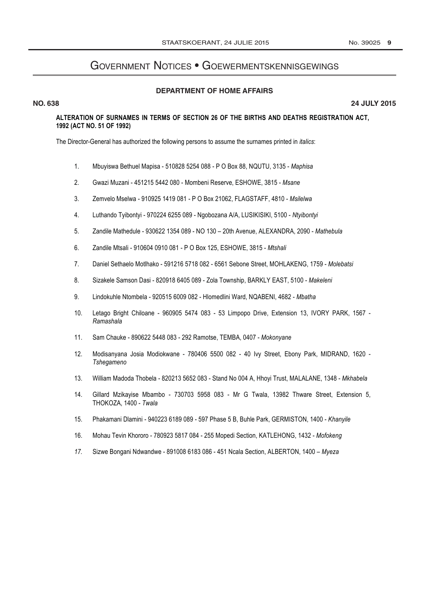## **GOVERNMENT NOTICES • GOEWERMENTSKENNISGEWINGS**

## **DEPARTMENT OF HOME AFFAIRS**

## **NO. 638**

24 JULY 2015

## ALTERATION OF SURNAMES IN TERMS OF SECTION 26 OF THE BIRTHS AND DEATHS REGISTRATION ACT. 1992 (ACT NO. 51 OF 1992)

The Director-General has authorized the following persons to assume the surnames printed in *italics*:

- $1.$ Mbuyiswa Bethuel Mapisa - 510828 5254 088 - P O Box 88, NQUTU, 3135 - Maphisa
- $2.$ Gwazi Muzani - 451215 5442 080 - Mombeni Reserve, ESHOWE, 3815 - Msane
- $3.$ Zemvelo Mselwa - 910925 1419 081 - P O Box 21062, FLAGSTAFF, 4810 - Msilelwa
- Luthando Tyibontyi 970224 6255 089 Ngobozana A/A, LUSIKISIKI, 5100 Ntyibontyi  $\overline{4}$ .
- Zandile Mathedule 930622 1354 089 NO 130 20th Avenue, ALEXANDRA, 2090 Mathebula 5.
- Zandile Mtsali 910604 0910 081 P O Box 125, ESHOWE, 3815 Mtshali 6.
- $\overline{7}$ . Daniel Sethaelo Motlhako - 591216 5718 082 - 6561 Sebone Street, MOHLAKENG, 1759 - Molebatsi
- 8. Sizakele Samson Dasi - 820918 6405 089 - Zola Township, BARKLY EAST, 5100 - Makeleni
- 9. Lindokuhle Ntombela - 920515 6009 082 - Hlomedlini Ward, NQABENI, 4682 - Mbatha
- $10.$ Letago Bright Chiloane - 960905 5474 083 - 53 Limpopo Drive, Extension 13, IVORY PARK, 1567 -Ramashala
- Sam Chauke 890622 5448 083 292 Ramotse, TEMBA, 0407 Mokonyane  $11.$
- Modisanyana Josia Modiokwane 780406 5500 082 40 lvy Street, Ebony Park, MIDRAND, 1620 - $12.$ Tshegameno
- $13<sub>1</sub>$ William Madoda Thobela - 820213 5652 083 - Stand No 004 A, Hhoyi Trust, MALALANE, 1348 - Mkhabela
- 14. Gillard Mzikayise Mbambo - 730703 5958 083 - Mr G Twala, 13982 Thware Street, Extension 5, THOKOZA, 1400 - Twala
- $15.$ Phakamani Dlamini - 940223 6189 089 - 597 Phase 5 B, Buhle Park, GERMISTON, 1400 - Khanyile
- 16. Mohau Tevin Khororo - 780923 5817 084 - 255 Mopedi Section, KATLEHONG, 1432 - Mofokeng
- $17.$ Sizwe Bongani Ndwandwe - 891008 6183 086 - 451 Ncala Section, ALBERTON, 1400 - Myeza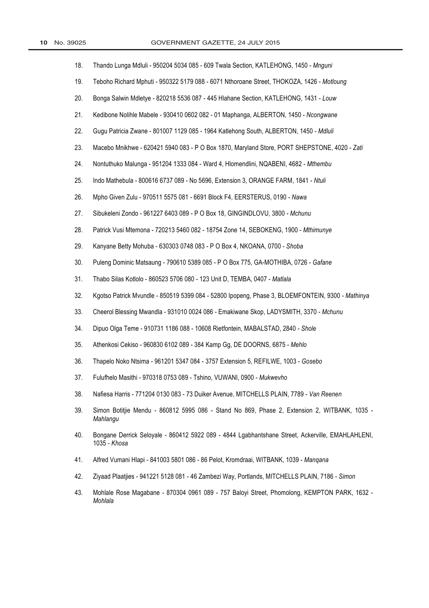| 18. | Thando Lunga Mdluli - 950204 5034 085 - 609 Twala Section, KATLEHONG, 1450 - Mnguni                              |
|-----|------------------------------------------------------------------------------------------------------------------|
| 19. | Teboho Richard Mphuti - 950322 5179 088 - 6071 Nthoroane Street, THOKOZA, 1426 - Motloung                        |
| 20. | Bonga Salwin Mdletye - 820218 5536 087 - 445 Hlahane Section, KATLEHONG, 1431 - Louw                             |
| 21. | Kedibone Nolihle Mabele - 930410 0602 082 - 01 Maphanga, ALBERTON, 1450 - Ncongwane                              |
| 22. | Gugu Patricia Zwane - 801007 1129 085 - 1964 Katlehong South, ALBERTON, 1450 - Mdluli                            |
| 23. | Macebo Mnikhwe - 620421 5940 083 - P O Box 1870, Maryland Store, PORT SHEPSTONE, 4020 - Zati                     |
| 24. | Nontuthuko Malunga - 951204 1333 084 - Ward 4, Hlomendlini, NQABENI, 4682 - Mthembu                              |
| 25. | Indo Mathebula - 800616 6737 089 - No 5696, Extension 3, ORANGE FARM, 1841 - Ntuli                               |
| 26. | Mpho Given Zulu - 970511 5575 081 - 6691 Block F4, EERSTERUS, 0190 - Nawa                                        |
| 27. | Sibukeleni Zondo - 961227 6403 089 - P O Box 18, GINGINDLOVU, 3800 - Mchunu                                      |
| 28. | Patrick Vusi Mtemona - 720213 5460 082 - 18754 Zone 14, SEBOKENG, 1900 - Mthimunye                               |
| 29. | Kanyane Betty Mohuba - 630303 0748 083 - P O Box 4, NKOANA, 0700 - Shoba                                         |
| 30. | Puleng Dominic Matsaung - 790610 5389 085 - P O Box 775, GA-MOTHIBA, 0726 - Gafane                               |
| 31. | Thabo Silas Kotlolo - 860523 5706 080 - 123 Unit D, TEMBA, 0407 - Matlala                                        |
| 32. | Kgotso Patrick Mvundle - 850519 5399 084 - 52800 Ipopeng, Phase 3, BLOEMFONTEIN, 9300 - Mathinya                 |
| 33. | Cheerol Blessing Mwandla - 931010 0024 086 - Emakiwane Skop, LADYSMITH, 3370 - Mchunu                            |
| 34. | Dipuo Olga Teme - 910731 1186 088 - 10608 Rietfontein, MABALSTAD, 2840 - Shole                                   |
| 35. | Athenkosi Cekiso - 960830 6102 089 - 384 Kamp Gg, DE DOORNS, 6875 - Mehlo                                        |
| 36. | Thapelo Noko Ntsima - 961201 5347 084 - 3757 Extension 5, REFILWE, 1003 - Gosebo                                 |
| 37. | Fulufhelo Masithi - 970318 0753 089 - Tshino, VUWANI, 0900 - Mukwevho                                            |
| 38. | Nafiesa Harris - 771204 0130 083 - 73 Duiker Avenue, MITCHELLS PLAIN, 7789 - Van Reenen                          |
| 39. | Simon Botitjie Mendu - 860812 5995 086 - Stand No 869, Phase 2, Extension 2, WITBANK, 1035 -<br>Mahlangu         |
| 40. | Bongane Derrick Seloyale - 860412 5922 089 - 4844 Lgabhantshane Street, Ackerville, EMAHLAHLENI,<br>1035 - Khosa |
| 41. | Alfred Vumani Hlapi - 841003 5801 086 - 86 Pelot, Kromdraai, WITBANK, 1039 - Mangana                             |
| 42. | Ziyaad Plaatjies - 941221 5128 081 - 46 Zambezi Way, Portlands, MITCHELLS PLAIN, 7186 - Simon                    |
| 43. | Mohlale Rose Magabane - 870304 0961 089 - 757 Baloyi Street, Phomolong, KEMPTON PARK, 1632 -<br>Mohlala          |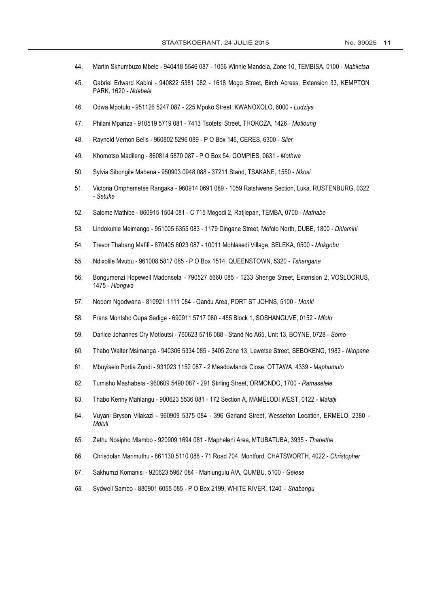- Martin Skhumbuzo Mbele 940418 5546 087 1056 Winnie Mandela, Zone 10, TEMBISA, 0100 Mabiletsa 44.
- 45. Gabriel Edward Kabini - 940822 5381 082 - 1618 Mogo Street, Birch Acress, Extension 33, KEMPTON PARK, 1620 - Ndebele
- 46. Odwa Mpotulo - 951126 5247 087 - 225 Mpuko Street, KWANOXOLO, 6000 - Ludziya
- 47. Philani Mpanza - 910519 5719 081 - 7413 Tsotetsi Street, THOKOZA, 1426 - Motloung
- 48. Raynold Vernon Bells - 960802 5296 089 - P O Box 146, CERES, 6300 - Slier
- 49. Khomotso Madileng - 860814 5870 087 - P O Box 54, GOMPIES, 0631 - Mothwa
- $50<sub>1</sub>$ Sylvia Sibongile Mabena - 950903 0948 088 - 37211 Stand, TSAKANE, 1550 - Nkosi
- $51$ Victoria Omphemetse Rangaka - 960914 0691 089 - 1059 Ratshwene Section, Luka, RUSTENBURG, 0322 - Setuke
- 52. Salome Mathibe - 860915 1504 081 - C 715 Mogodi 2, Ratijepan, TEMBA, 0700 - Mathabe
- 53. Lindokuhle Meimango - 951005 6355 083 - 1179 Dingane Street, Mofolo North, DUBE, 1800 - Dhlamini
- 54. Trevor Thabang Mafifi - 870405 6023 087 - 10011 Mohlasedi Village, SELEKA, 0500 - Mokgobu
- 55. Ndixolile Mvubu - 961008 5817 085 - P O Box 1514, QUEENSTOWN, 5320 - Tshangana
- 56. Bongumenzi Hopewell Madonsela - 790527 5660 085 - 1233 Shenge Street, Extension 2, VOSLOORUS, 1475 - Hlonawa
- Nobom Ngodwana 810921 1111 084 Qandu Area, PORT ST JOHNS, 5100 Monki  $57.$
- 58. Frans Montsho Oupa Sadige - 690911 5717 080 - 455 Block 1, SOSHANGUVE, 0152 - Mfolo
- 59. Darlice Johannes Cry Motloutsi - 760623 5716 088 - Stand No A65, Unit 13, BOYNE, 0728 - Somo
- 60. Thabo Walter Msimanga - 940306 5334 085 - 3405 Zone 13, Lewetse Street, SEBOKENG, 1983 - Nkopane
- 61. Mbuyiselo Portia Zondi - 931023 1152 087 - 2 Meadowlands Close, OTTAWA, 4339 - Maphumulo
- 62. Tumisho Mashabela - 960609 5490 087 - 291 Stirling Street, ORMONDO, 1700 - Ramaselele
- 63. Thabo Kenny Mahlangu - 900623 5536 081 - 172 Section A, MAMELODI WEST, 0122 - Malatii
- 64. Vuyani Bryson Vilakazi - 960909 5375 084 - 396 Garland Street, Wesselton Location, ERMELO, 2380 -Mdluli
- 65. Zethu Nosipho Mlambo - 920909 1694 081 - Mapheleni Area, MTUBATUBA, 3935 - Thabethe
- Chrisdolan Marimuthu 861130 5110 088 71 Road 704, Montford, CHATSWORTH, 4022 Christopher 66.
- 67. Sakhumzi Komanisi - 920623 5967 084 - Mahlungulu A/A, QUMBU, 5100 - Gelese
- 68. Sydwell Sambo - 880901 6055 085 - P O Box 2199, WHITE RIVER, 1240 - Shabangu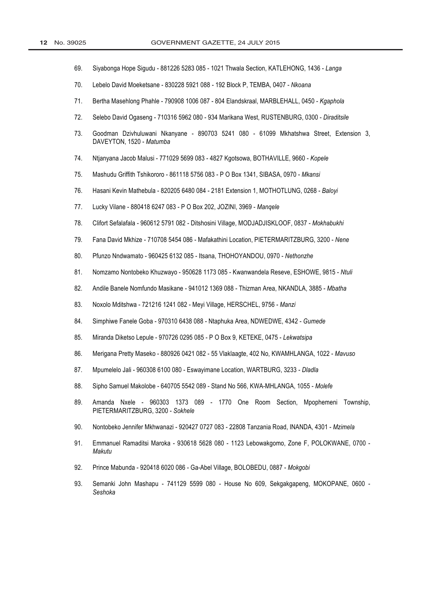- 69. Siyabonga Hope Sigudu - 881226 5283 085 - 1021 Thwala Section, KATLEHONG, 1436 - Langa
- $70.$ Lebelo David Moeketsane - 830228 5921 088 - 192 Block P, TEMBA, 0407 - Nkoana
- $71.$ Bertha Masehlong Phahle - 790908 1006 087 - 804 Elandskraal, MARBLEHALL, 0450 - Kgaphola
- $72.$ Selebo David Ogaseng - 710316 5962 080 - 934 Marikana West, RUSTENBURG, 0300 - Diraditsile
- $73.$ Goodman Dzivhuluwani Nkanyane - 890703 5241 080 - 61099 Mkhatshwa Street. Extension 3. DAVEYTON, 1520 - Matumba
- Ntjanyana Jacob Malusi 771029 5699 083 4827 Kgotsowa, BOTHAVILLE, 9660 Kopele 74.
- 75. Mashudu Griffith Tshikororo - 861118 5756 083 - P O Box 1341, SIBASA, 0970 - Mkansi
- 76. Hasani Kevin Mathebula - 820205 6480 084 - 2181 Extension 1, MOTHOTLUNG, 0268 - Baloyi
- 77. Lucky Vilane - 880418 6247 083 - P O Box 202, JOZINI, 3969 - Mangele
- 78. Clifort Sefalafala - 960612 5791 082 - Ditshosini Village, MODJADJISKLOOF, 0837 - Mokhabukhi
- 79. Fana David Mkhize - 710708 5454 086 - Mafakathini Location, PIETERMARITZBURG, 3200 - Nene
- 80. Pfunzo Nndwamato - 960425 6132 085 - Itsana, THOHOYANDOU, 0970 - Nethonzhe
- $81.$ Nomzamo Nontobeko Khuzwayo - 950628 1173 085 - Kwanwandela Reseve, ESHOWE, 9815 - Ntuli
- 82. Andile Banele Nomfundo Masikane - 941012 1369 088 - Thizman Area, NKANDLA, 3885 - Mbatha
- 83. Noxolo Mditshwa - 721216 1241 082 - Meyi Village, HERSCHEL, 9756 - Manzi
- 84. Simphiwe Fanele Goba - 970310 6438 088 - Ntaphuka Area, NDWEDWE, 4342 - Gumede
- 85. Miranda Diketso Lepule - 970726 0295 085 - P O Box 9, KETEKE, 0475 - Lekwatsipa
- 86. Merigana Pretty Maseko - 880926 0421 082 - 55 Vlaklaagte, 402 No, KWAMHLANGA, 1022 - Mavuso
- 87. Mpumelelo Jali - 960308 6100 080 - Eswayimane Location, WARTBURG, 3233 - Dladla
- 88. Sipho Samuel Makolobe - 640705 5542 089 - Stand No 566, KWA-MHLANGA, 1055 - Molefe
- 89. Amanda Nxele - 960303 1373 089 - 1770 One Room Section, Mpophemeni Township, PIETERMARITZBURG, 3200 - Sokhele
- $90.$ Nontobeko Jennifer Mkhwanazi - 920427 0727 083 - 22808 Tanzania Road, INANDA, 4301 - Mzimela
- 91. Emmanuel Ramaditsi Maroka - 930618 5628 080 - 1123 Lebowakgomo, Zone F, POLOKWANE, 0700 -Makutu
- 92. Prince Mabunda - 920418 6020 086 - Ga-Abel Village, BOLOBEDU, 0887 - Mokgobi
- 93. Semanki John Mashapu - 741129 5599 080 - House No 609, Sekgakgapeng, MOKOPANE, 0600 -Seshoka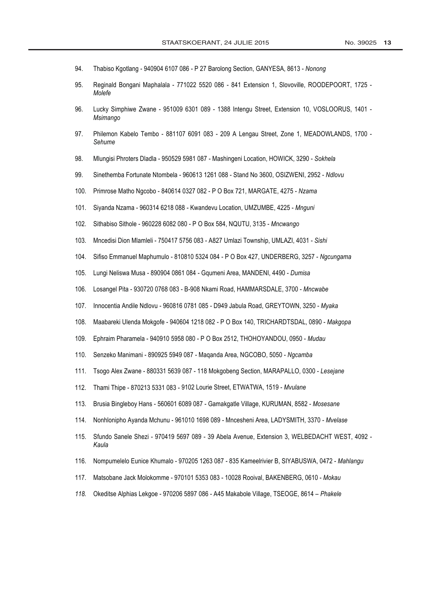- 94. Thabiso Kgotlang - 940904 6107 086 - P 27 Barolong Section, GANYESA, 8613 - Nonong
- 95. Reginald Bongani Maphalala - 771022 5520 086 - 841 Extension 1, Slovoville, ROODEPOORT, 1725 -Molefe
- 96. Lucky Simphiwe Zwane - 951009 6301 089 - 1388 Intengu Street, Extension 10, VOSLOORUS, 1401 -Msimango
- Philemon Kabelo Tembo 881107 6091 083 209 A Lengau Street, Zone 1, MEADOWLANDS, 1700 -97. Sehume
- 98. Mlungisi Phroters Dladla - 950529 5981 087 - Mashingeni Location, HOWICK, 3290 - Sokhela
- 99. Sinethemba Fortunate Ntombela - 960613 1261 088 - Stand No 3600, OSIZWENI, 2952 - Ndlovu
- 100. Primrose Matho Ngcobo - 840614 0327 082 - P O Box 721, MARGATE, 4275 - Nzama
- 101. Siyanda Nzama - 960314 6218 088 - Kwandevu Location, UMZUMBE, 4225 - Mnguni
- $102.$ Sithabiso Sithole - 960228 6082 080 - P O Box 584, NQUTU, 3135 - Mncwango
- $103.$ Mncedisi Dion Mlamleli - 750417 5756 083 - A827 Umlazi Township, UMLAZI, 4031 - Sishi
- 104. Sifiso Emmanuel Maphumulo - 810810 5324 084 - P O Box 427, UNDERBERG, 3257 - Ngcungama
- 105. Lungi Neliswa Musa - 890904 0861 084 - Ggumeni Area, MANDENI, 4490 - Dumisa
- $106.$ Losangel Pita - 930720 0768 083 - B-908 Nkami Road, HAMMARSDALE, 3700 - Mncwabe
- $107.$ Innocentia Andile Ndlovu - 960816 0781 085 - D949 Jabula Road, GREYTOWN, 3250 - Myaka
- 108. Maabareki Ulenda Mokgofe - 940604 1218 082 - P O Box 140, TRICHARDTSDAL, 0890 - Makgopa
- Ephraim Pharamela 940910 5958 080 P O Box 2512, THOHOYANDOU, 0950 Mudau 109.
- $110.$ Senzeko Manimani - 890925 5949 087 - Maganda Area, NGCOBO, 5050 - Ngcamba
- $111.$ Tsogo Alex Zwane - 880331 5639 087 - 118 Mokgobeng Section, MARAPALLO, 0300 - Lesejane
- $112.$ Thami Thipe - 870213 5331 083 - 9102 Lourie Street, ETWATWA, 1519 - Mvulane
- $113.$ Brusia Bingleboy Hans - 560601 6089 087 - Gamakgatle Village, KURUMAN, 8582 - Mosesane
- Nonhlonipho Ayanda Mchunu 961010 1698 089 Mncesheni Area, LADYSMITH, 3370 Mvelase 114.
- Sfundo Sanele Shezi 970419 5697 089 39 Abela Avenue, Extension 3, WELBEDACHT WEST, 4092 -115. Kaula
- Nompumelelo Eunice Khumalo 970205 1263 087 835 Kameelrivier B, SIYABUSWA, 0472 Mahlangu 116.
- Matsobane Jack Molokomme 970101 5353 083 10028 Rooival, BAKENBERG, 0610 Mokau  $117.$
- 118. Okeditse Alphias Lekgoe - 970206 5897 086 - A45 Makabole Village, TSEOGE, 8614 - Phakele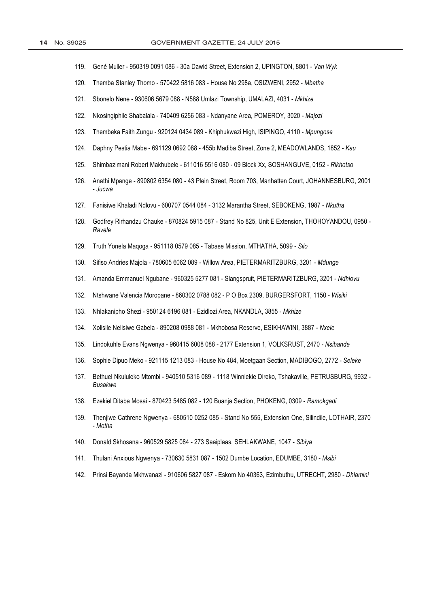- Gené Muller 950319 0091 086 30a Dawid Street, Extension 2, UPINGTON, 8801 Van Wyk 119.
- Themba Stanley Thomo 570422 5816 083 House No 298a, OSIZWENI, 2952 Mbatha 120.
- Sbonelo Nene 930606 5679 088 N588 Umlazi Township, UMALAZI, 4031 Mkhize  $121.$
- Nkosingiphile Shabalala 740409 6256 083 Ndanyane Area, POMEROY, 3020 Majozi  $122.$
- Thembeka Faith Zungu 920124 0434 089 Khiphukwazi High, ISIPINGO, 4110 Mpungose  $123.$
- Daphny Pestia Mabe 691129 0692 088 455b Madiba Street, Zone 2, MEADOWLANDS, 1852 Kau  $124$
- $125.$ Shimbazimani Robert Makhubele - 611016 5516 080 - 09 Block Xx, SOSHANGUVE, 0152 - Rikhotso
- 126. Anathi Mpange 890802 6354 080 43 Plein Street, Room 703, Manhatten Court, JOHANNESBURG, 2001 - Jucwa
- 127. Fanisiwe Khaladi Ndlovu 600707 0544 084 3132 Marantha Street, SEBOKENG, 1987 Nkutha
- 128. Godfrey Rirhandzu Chauke 870824 5915 087 Stand No 825, Unit E Extension, THOHOYANDOU, 0950 -Ravele
- Truth Yonela Maqoga 951118 0579 085 Tabase Mission, MTHATHA, 5099 Silo 129.
- 130. Sifiso Andries Majola - 780605 6062 089 - Willow Area, PIETERMARITZBURG, 3201 - Mdunge
- $131.$ Amanda Emmanuel Ngubane - 960325 5277 081 - Slangspruit, PIETERMARITZBURG, 3201 - Ndhlovu
- Ntshwane Valencia Moropane 860302 0788 082 P O Box 2309, BURGERSFORT, 1150 Wisiki 132.
- Nhlakanipho Shezi 950124 6196 081 Ezidlozi Area, NKANDLA, 3855 Mkhize 133.
- 134. Xolisile Nelisiwe Gabela - 890208 0988 081 - Mkhobosa Reserve, ESIKHAWINI, 3887 - Nxele
- 135. Lindokuhle Evans Ngwenya - 960415 6008 088 - 2177 Extension 1, VOLKSRUST, 2470 - Nsibande
- $136.$ Sophie Dipuo Meko - 921115 1213 083 - House No 484, Moetgaan Section, MADIBOGO, 2772 - Seleke
- Bethuel Nkululeko Mtombi 940510 5316 089 1118 Winniekie Direko, Tshakaville, PETRUSBURG, 9932 - $137.$ **Busakwe**
- 138. Ezekiel Ditaba Mosai 870423 5485 082 120 Buanja Section, PHOKENG, 0309 Ramokgadi
- 139. Thenjiwe Cathrene Ngwenya 680510 0252 085 Stand No 555, Extension One, Silindile, LOTHAIR, 2370 - Motha
- 140. Donald Skhosana 960529 5825 084 273 Saaiplaas, SEHLAKWANE, 1047 Sibiya
- 141. Thulani Anxious Ngwenya 730630 5831 087 1502 Dumbe Location, EDUMBE, 3180 Msibi
- 142. Prinsi Bayanda Mkhwanazi 910606 5827 087 Eskom No 40363, Ezimbuthu, UTRECHT, 2980 Dhlamini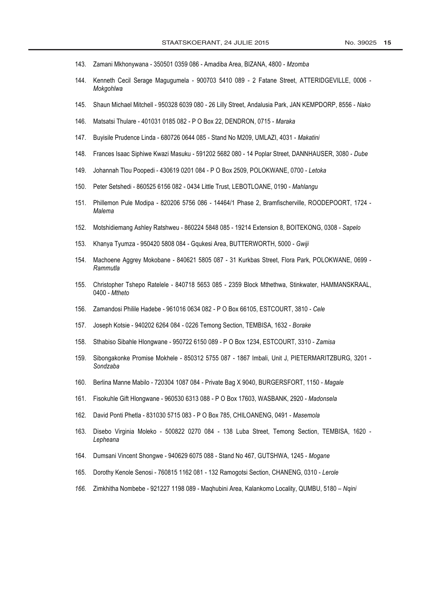- 143. Zamani Mkhonywana 350501 0359 086 Amadiba Area, BIZANA, 4800 Mzomba
- 144. Kenneth Cecil Serage Magugumela - 900703 5410 089 - 2 Fatane Street, ATTERIDGEVILLE, 0006 -Mokgohlwa
- 145. Shaun Michael Mitchell - 950328 6039 080 - 26 Lilly Street, Andalusia Park, JAN KEMPDORP, 8556 - Nako
- 146. Matsatsi Thulare - 401031 0185 082 - P O Box 22, DENDRON, 0715 - Maraka
- 147. Buyisile Prudence Linda - 680726 0644 085 - Stand No M209, UMLAZI, 4031 - Makatini
- 148. Frances Isaac Siphiwe Kwazi Masuku - 591202 5682 080 - 14 Poplar Street, DANNHAUSER, 3080 - Dube
- 149. Johannah Tlou Poopedi - 430619 0201 084 - P O Box 2509, POLOKWANE, 0700 - Letoka
- 150. Peter Setshedi - 860525 6156 082 - 0434 Little Trust, LEBOTLOANE, 0190 - Mahlangu
- 151. Phillemon Pule Modipa 820206 5756 086 14464/1 Phase 2. Bramfischerville, ROODEPOORT, 1724 -Malema
- Motshidiemang Ashley Ratshweu 860224 5848 085 19214 Extension 8, BOITEKONG, 0308 Sapelo  $152.$
- 153. Khanya Tyumza 950420 5808 084 Gqukesi Area, BUTTERWORTH, 5000 Gwiji
- 154. Machoene Aggrey Mokobane 840621 5805 087 31 Kurkbas Street, Flora Park, POLOKWANE, 0699 -Rammutla
- 155. Christopher Tshepo Ratelele 840718 5653 085 2359 Block Mthethwa, Stinkwater, HAMMANSKRAAL, 0400 - Mtheto
- 156. Zamandosi Philile Hadebe 961016 0634 082 P O Box 66105, ESTCOURT, 3810 Cele
- 157. Joseph Kotsie 940202 6264 084 0226 Temong Section, TEMBISA, 1632 Borake
- 158. Sthabiso Sibahle Hlongwane - 950722 6150 089 - P O Box 1234, ESTCOURT, 3310 - Zamisa
- 159. Sibongakonke Promise Mokhele - 850312 5755 087 - 1867 Imbali, Unit J, PIETERMARITZBURG, 3201 -Sondzaba
- 160. Berlina Manne Mabilo - 720304 1087 084 - Private Bag X 9040, BURGERSFORT, 1150 - Magale
- 161. Fisokuhle Gift Hlongwane - 960530 6313 088 - P O Box 17603, WASBANK, 2920 - Madonsela
- 162. David Ponti Phetla 831030 5715 083 P O Box 785, CHILOANENG, 0491 Masemola
- Disebo Virginia Moleko 500822 0270 084 138 Luba Street, Temong Section, TEMBISA, 1620 -163. Lepheana
- Dumsani Vincent Shongwe 940629 6075 088 Stand No 467, GUTSHWA, 1245 Mogane 164.
- Dorothy Kenole Senosi 760815 1162 081 132 Ramogotsi Section, CHANENG, 0310 Lerole  $165.$
- 166. Zimkhitha Nombebe 921227 1198 089 Maghubini Area, Kalankomo Locality, QUMBU, 5180 Ngini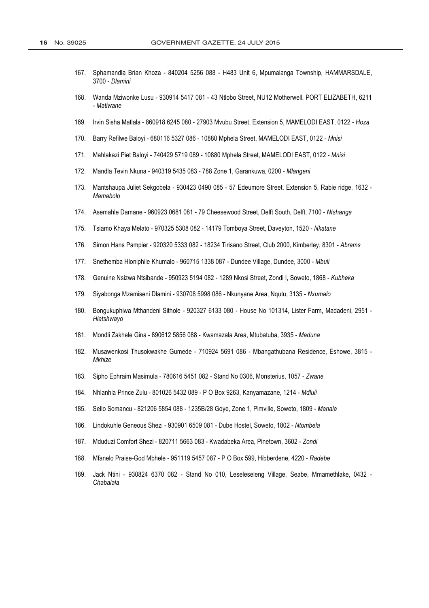- Sphamandla Brian Khoza 840204 5256 088 H483 Unit 6, Mpumalanga Township, HAMMARSDALE, 167 3700 - Dlamini
- 168. Wanda Mziwonke Lusu - 930914 5417 081 - 43 Ntlobo Street, NU12 Motherwell, PORT ELIZABETH, 6211 - Matiwane
- 169. Irvin Sisha Matlala - 860918 6245 080 - 27903 Myubu Street, Extension 5, MAMELODI EAST, 0122 - Hoza
- Barry Refilwe Baloyi 680116 5327 086 10880 Mphela Street, MAMELODI EAST, 0122 Mnisi  $170$
- Mahlakazi Piet Baloyi 740429 5719 089 10880 Mphela Street, MAMELODI EAST, 0122 Mnisi  $171.$
- $172$ Mandla Tevin Nkuna - 940319 5435 083 - 788 Zone 1, Garankuwa, 0200 - Mlangeni
- 173. Mantshaupa Juliet Sekgobela 930423 0490 085 57 Edeumore Street, Extension 5, Rabie ridge, 1632 -Mamabolo
- 174. Asemahle Damane 960923 0681 081 79 Cheesewood Street, Delft South, Delft, 7100 Ntshanga
- Tsiamo Khaya Melato 970325 5308 082 14179 Tomboya Street, Daveyton, 1520 Nkatane 175.
- 176. Simon Hans Pampier - 920320 5333 082 - 18234 Tirisano Street, Club 2000, Kimberley, 8301 - Abrams
- Snethemba Hloniphile Khumalo 960715 1338 087 Dundee Village, Dundee, 3000 Mbuli  $177.$
- Genuine Nsizwa Ntsibande 950923 5194 082 1289 Nkosi Street, Zondi I, Soweto, 1868 Kubheka 178.
- 179. Siyabonga Mzamiseni Dlamini - 930708 5998 086 - Nkunyane Area, Nqutu, 3135 - Nxumalo
- 180. Bongukuphiwa Mthandeni Sithole - 920327 6133 080 - House No 101314, Lister Farm, Madadeni, 2951 -Hlatshwayo
- 181. Mondli Zakhele Gina 890612 5856 088 Kwamazala Area, Mtubatuba, 3935 Maduna
- 182. Musawenkosi Thusokwakhe Gumede 710924 5691 086 Mbangathubana Residence, Eshowe, 3815 -Mkhize
- 183. Sipho Ephraim Masimula - 780616 5451 082 - Stand No 0306, Monsterius, 1057 - Zwane
- 184. Nhlanhla Prince Zulu - 801026 5432 089 - P O Box 9263, Kanyamazane, 1214 - Mdluli
- 185. Sello Somancu - 821206 5854 088 - 1235B/28 Goye, Zone 1, Pimville, Soweto, 1809 - Manala
- 186. Lindokuhle Geneous Shezi - 930901 6509 081 - Dube Hostel, Soweto, 1802 - Ntombela
- 187. Mduduzi Comfort Shezi - 820711 5663 083 - Kwadabeka Area, Pinetown, 3602 - Zondi
- 188. Mfanelo Praise-God Mbhele 951119 5457 087 P O Box 599, Hibberdene, 4220 Radebe
- 189. Jack Ntini 930824 6370 082 Stand No 010, Leseleseleng Village, Seabe, Mmamethlake, 0432 -Chabalala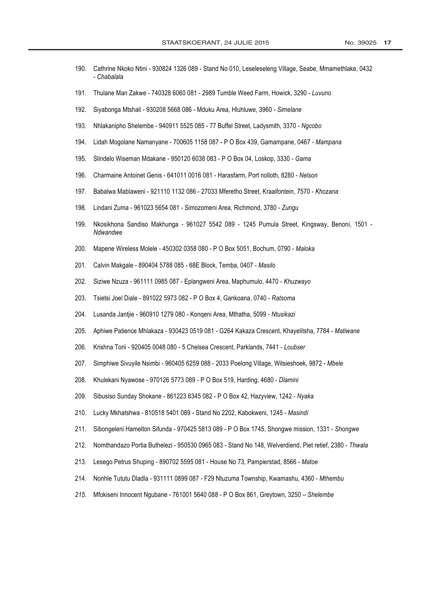- 190. Cathrine Nkoko Ntini - 930824 1326 089 - Stand No 010, Leseleseleng Village, Seabe, Mmamethlake, 0432 - Chabalala
- Thulane Man Zakwe 740328 6060 081 2989 Tumble Weed Farm, Howick, 3290 Luvuno 191.
- 192. Siyabonga Mtshali - 930208 5668 086 - Mduku Area, Hluhluwe, 3960 - Simelane
- 193. Nhlakanipho Shelembe - 940911 5525 085 - 77 Buffel Street, Ladysmith, 3370 - Ngcobo
- 194. Lidah Mogolane Namanyane - 700605 1158 087 - P O Box 439, Gamampane, 0467 - Mampana
- Slindelo Wiseman Mdakane 950120 6038 083 P O Box 04, Loskop, 3330 Gama 195.
- 196. Charmaine Antoinet Genis - 641011 0016 081 - Harasfarm, Port nolloth, 8280 - Nelson
- 197. Babalwa Mablaweni - 921110 1132 086 - 27033 Mferetho Street, Kraaifontein, 7570 - Khozana
- 198. Lindani Zuma - 961023 5654 081 - Simozomeni Area, Richmond, 3780 - Zungu
- 199. Nkosikhona Sandiso Makhunga - 961027 5542 089 - 1245 Pumula Street, Kingsway, Benoni, 1501 -Ndwandwe
- 200. Mapene Wireless Molele - 450302 0358 080 - P O Box 5051, Bochum, 0790 - Maloka
- $201.$ Calvin Makgale - 890404 5788 085 - 68E Block, Temba, 0407 - Masilo
- $202.$ Siziwe Nzuza - 961111 0985 087 - Eplangweni Area, Maphumulo, 4470 - Khuzwayo
- 203. Tsietsi Joel Diale - 891022 5973 082 - P O Box 4, Gankoana, 0740 - Ratsoma
- Lusanda Jantije 960910 1279 080 Kongeni Area, Mthatha, 5099 Ntusikazi  $204$
- Aphiwe Patience Mhlakaza 930423 0519 081 G264 Kakaza Crescent, Khayelitsha, 7784 Matiwane  $205.$
- Krishna Torii 920405 0048 080 5 Chelsea Crescent, Parklands, 7441 Loubser 206.
- 207. Simphiwe Sivuyile Nsimbi - 960405 6259 088 - 2033 Poelong Village, Witsieshoek, 9872 - Mbele
- 208. Khulekani Nyawose - 970126 5773 089 - P O Box 519, Harding, 4680 - Dlamini
- 209. Sibusiso Sunday Shokane - 861223 6345 082 - P O Box 42, Hazyview, 1242 - Nyaka
- Lucky Mkhatshwa 810518 5401 089 Stand No 2202, Kabokweni, 1245 Masindi 210.
- $211.$ Sibongeleni Hamelton Sifunda - 970425 5813 089 - P O Box 1745, Shongwe mission, 1331 - Shongwe
- $212.$ Nomthandazo Portia Buthelezi - 950530 0965 083 - Stand No 148, Welverdiend, Piet retief, 2380 - Thwala
- $213.$ Lesego Petrus Shuping - 890702 5595 081 - House No 73, Pampierstad, 8566 - Matoe
- Nonhle Tututu Dladla 931111 0899 087 F29 Ntuzuma Township, Kwamashu, 4360 Mthembu  $214.$
- Mfokiseni Innocent Ngubane 761001 5640 088 P O Box 861, Greytown, 3250 Shelembe  $215.$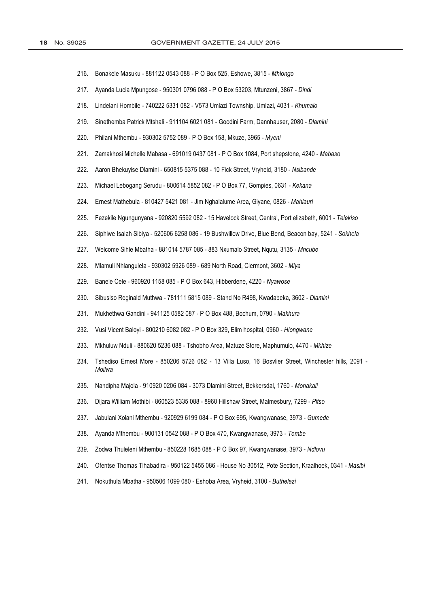- 216. Bonakele Masuku - 881122 0543 088 - P O Box 525, Eshowe, 3815 - Mhlongo
- 217. Ayanda Lucia Mpungose - 950301 0796 088 - P O Box 53203, Mtunzeni, 3867 - Dindi
- 218. Lindelani Hombile - 740222 5331 082 - V573 Umlazi Township, Umlazi, 4031 - Khumalo
- 219. Sinethemba Patrick Mtshali - 911104 6021 081 - Goodini Farm, Dannhauser, 2080 - Dlamini
- 220. Philani Mthembu - 930302 5752 089 - P O Box 158, Mkuze, 3965 - Myeni
- 221. Zamakhosi Michelle Mabasa - 691019 0437 081 - P O Box 1084, Port shepstone, 4240 - Mabaso
- 222. Aaron Bhekuyise Dlamini - 650815 5375 088 - 10 Fick Street, Vryheid, 3180 - Nsibande
- 223. Michael Lebogang Serudu - 800614 5852 082 - P O Box 77, Gompies, 0631 - Kekana
- 224. Ernest Mathebula - 810427 5421 081 - Jim Nghalalume Area, Giyane, 0826 - Mahlauri
- 225. Fezekile Ngungunyana - 920820 5592 082 - 15 Havelock Street, Central, Port elizabeth, 6001 - Telekiso
- 226. Siphiwe Isaiah Sibiya - 520606 6258 086 - 19 Bushwillow Drive, Blue Bend, Beacon bay, 5241 - Sokhela
- Welcome Sihle Mbatha 881014 5787 085 883 Nxumalo Street, Ngutu, 3135 Mncube 227.
- Mlamuli Nhlangulela 930302 5926 089 689 North Road, Clermont, 3602 Miya 228.
- Banele Cele 960920 1158 085 P O Box 643, Hibberdene, 4220 Nyawose 229.
- 230. Sibusiso Reginald Muthwa - 781111 5815 089 - Stand No R498, Kwadabeka, 3602 - Dlamini
- 231. Mukhethwa Gandini - 941125 0582 087 - P O Box 488, Bochum, 0790 - Makhura
- 232. Vusi Vicent Balovi - 800210 6082 082 - P O Box 329, Elim hospital, 0960 - Hlongwane
- 233. Mkhuluw Nduli - 880620 5236 088 - Tshobho Area, Matuze Store, Maphumulo, 4470 - Mkhize
- 234. Tshediso Ernest More - 850206 5726 082 - 13 Villa Luso, 16 Bosvlier Street, Winchester hills, 2091 -Moilwa
- 235. Nandipha Majola - 910920 0206 084 - 3073 Dlamini Street, Bekkersdal, 1760 - Monakali
- 236. Dijara William Mothibi - 860523 5335 088 - 8960 Hillshaw Street, Malmesbury, 7299 - Pitso
- 237. Jabulani Xolani Mthembu - 920929 6199 084 - P O Box 695, Kwangwanase, 3973 - Gumede
- 238. Ayanda Mthembu - 900131 0542 088 - P O Box 470, Kwangwanase, 3973 - Tembe
- 239. Zodwa Thuleleni Mthembu - 850228 1685 088 - P O Box 97, Kwangwanase, 3973 - Ndlovu
- 240. Ofentse Thomas Tlhabadira - 950122 5455 086 - House No 30512, Pote Section, Kraalhoek, 0341 - Masibi
- Nokuthula Mbatha 950506 1099 080 Eshoba Area, Vryheid, 3100 Buthelezi 241.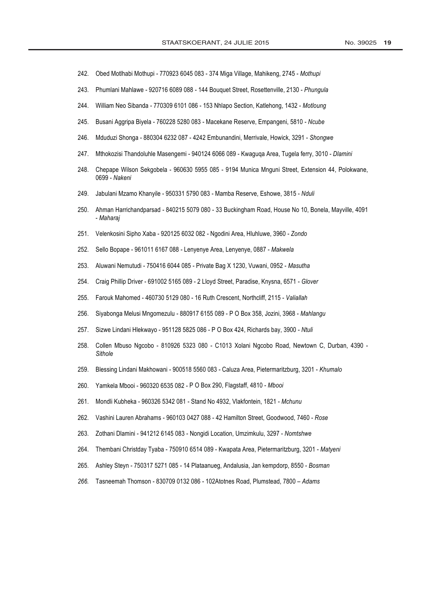- 242. Obed Motlhabi Mothupi - 770923 6045 083 - 374 Miga Village, Mahikeng, 2745 - Mothupi
- 243. Phumlani Mahlawe - 920716 6089 088 - 144 Bouquet Street, Rosettenville, 2130 - Phungula
- 244. William Neo Sibanda - 770309 6101 086 - 153 Nhlapo Section, Katlehong, 1432 - Motloung
- 245. Busani Aggripa Biyela - 760228 5280 083 - Macekane Reserve, Empangeni, 5810 - Ncube
- 246. Mduduzi Shonga - 880304 6232 087 - 4242 Embunandini, Merrivale, Howick, 3291 - Shongwe
- 247. Mthokozisi Thandoluhle Masengemi - 940124 6066 089 - Kwaguqa Area, Tugela ferry, 3010 - Dlamini
- 248. Chepape Wilson Sekgobela - 960630 5955 085 - 9194 Munica Mnguni Street, Extension 44, Polokwane, 0699 - Nakeni
- 249. Jabulani Mzamo Khanyile - 950331 5790 083 - Mamba Reserve, Eshowe, 3815 - Nduli
- 250. Ahman Harrichandparsad - 840215 5079 080 - 33 Buckingham Road, House No 10, Bonela, Mayville, 4091 - Maharaj
- Velenkosini Sipho Xaba 920125 6032 082 Ngodini Area, Hluhluwe, 3960 Zondo 251.
- Sello Bopape 961011 6167 088 Lenyenye Area, Lenyenye, 0887 Makwela 252.
- Aluwani Nemutudi 750416 6044 085 Private Bag X 1230, Vuwani, 0952 Masutha 253.
- Craig Phillip Driver 691002 5165 089 2 Lloyd Street, Paradise, Knysna, 6571 Glover 254.
- 255. Farouk Mahomed - 460730 5129 080 - 16 Ruth Crescent, Northcliff, 2115 - Valiallah
- 256. Siyabonga Melusi Mngomezulu - 880917 6155 089 - P O Box 358, Jozini, 3968 - Mahlangu
- 257. Sizwe Lindani Hlekwayo - 951128 5825 086 - P O Box 424, Richards bay, 3900 - Ntuli
- 258. Collen Mbuso Ngcobo - 810926 5323 080 - C1013 Xolani Ngcobo Road, Newtown C, Durban, 4390 -Sithole
- 259. Blessing Lindani Makhowani - 900518 5560 083 - Caluza Area, Pietermaritzburg, 3201 - Khumalo
- Yamkela Mbooi 960320 6535 082 P O Box 290, Flagstaff, 4810 Mbooi 260.
- $261.$ Mondli Kubheka - 960326 5342 081 - Stand No 4932, Vlakfontein, 1821 - Mchunu
- 262. Vashini Lauren Abrahams - 960103 0427 088 - 42 Hamilton Street, Goodwood, 7460 - Rose
- 263. Zothani Dlamini - 941212 6145 083 - Nongidi Location, Umzimkulu, 3297 - Nomtshwe
- 264. Thembani Christday Tyaba - 750910 6514 089 - Kwapata Area, Pietermaritzburg, 3201 - Matyeni
- 265. Ashley Steyn - 750317 5271 085 - 14 Plataanueg, Andalusia, Jan kempdorp, 8550 - Bosman
- 266. Tasneemah Thomson - 830709 0132 086 - 102Atotnes Road, Plumstead, 7800 - Adams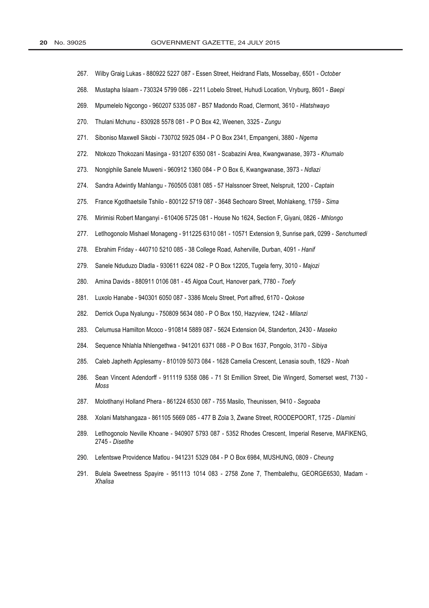- 267. Wilby Graig Lukas - 880922 5227 087 - Essen Street, Heidrand Flats, Mosselbay, 6501 - October
- 268. Mustapha Islaam - 730324 5799 086 - 2211 Lobelo Street, Huhudi Location, Vryburg, 8601 - Baepi
- 269. Mpumelelo Ngcongo - 960207 5335 087 - B57 Madondo Road, Clermont, 3610 - Hlatshwayo
- 270. Thulani Mchunu - 830928 5578 081 - P O Box 42, Weenen, 3325 - Zungu
- 271. Siboniso Maxwell Sikobi - 730702 5925 084 - P O Box 2341, Empangeni, 3880 - Ngema
- 272. Ntokozo Thokozani Masinga - 931207 6350 081 - Scabazini Area, Kwangwanase, 3973 - Khumalo
- 273. Nongiphile Sanele Muweni - 960912 1360 084 - P O Box 6, Kwangwanase, 3973 - Ndlazi
- 274. Sandra Adwintly Mahlangu - 760505 0381 085 - 57 Halssnoer Street, Nelspruit, 1200 - Captain
- 275. France Kgotlhaetsile Tshilo - 800122 5719 087 - 3648 Sechoaro Street, Mohlakeng, 1759 - Sima
- 276. Mirimisi Robert Manganyi - 610406 5725 081 - House No 1624, Section F, Giyani, 0826 - Mhlongo
- 277. Letlhogonolo Mishael Monageng - 911225 6310 081 - 10571 Extension 9, Sunrise park, 0299 - Senchumedi
- Ebrahim Friday 440710 5210 085 38 College Road, Asherville, Durban, 4091 Hanif 278.
- 279. Sanele Nduduzo Dladla - 930611 6224 082 - P O Box 12205, Tugela ferry, 3010 - Majozi
- Amina Davids 880911 0106 081 45 Algoa Court, Hanover park, 7780 Toefy 280.
- 281. Luxolo Hanabe - 940301 6050 087 - 3386 Mcelu Street, Port alfred, 6170 - Qokose
- 282. Derrick Oupa Nyalungu - 750809 5634 080 - P O Box 150, Hazyview, 1242 - Milanzi
- 283. Celumusa Hamilton Mcoco - 910814 5889 087 - 5624 Extension 04, Standerton, 2430 - Maseko
- 284. Sequence Nhlahla Nhlengethwa - 941201 6371 088 - P O Box 1637, Pongolo, 3170 - Sibiya
- 285. Caleb Japheth Applesamy - 810109 5073 084 - 1628 Camelia Crescent, Lenasia south, 1829 - Noah
- 286. Sean Vincent Adendorff - 911119 5358 086 - 71 St Emillion Street, Die Wingerd, Somerset west, 7130 -**Moss**
- 287. Molotlhanyi Holland Phera - 861224 6530 087 - 755 Masilo, Theunissen, 9410 - Segoaba
- 288. Xolani Matshangaza - 861105 5669 085 - 477 B Zola 3, Zwane Street, ROODEPOORT, 1725 - Dlamini
- 289. Letlhogonolo Neville Khoane - 940907 5793 087 - 5352 Rhodes Crescent, Imperial Reserve, MAFIKENG, 2745 - Disetlhe
- 290. Lefentswe Providence Matlou 941231 5329 084 P O Box 6984, MUSHUNG, 0809 Cheung
- 291. Bulela Sweetness Spayire - 951113 1014 083 - 2758 Zone 7, Thembalethu, GEORGE6530, Madam -Xhalisa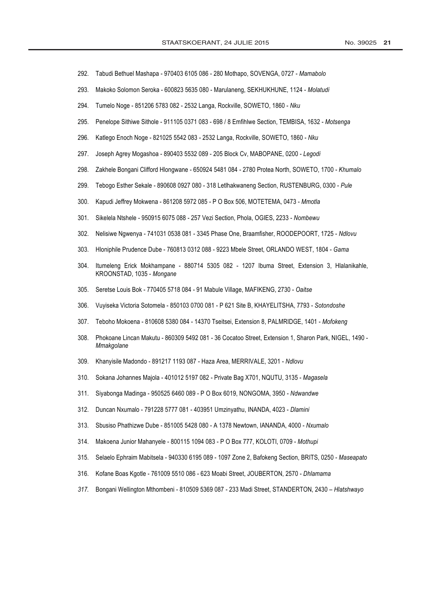- 292. Tabudi Bethuel Mashapa - 970403 6105 086 - 280 Mothapo, SOVENGA, 0727 - Mamabolo
- 293. Makoko Solomon Seroka - 600823 5635 080 - Marulaneng, SEKHUKHUNE, 1124 - Molatudi
- 294. Tumelo Noge - 851206 5783 082 - 2532 Langa, Rockville, SOWETO, 1860 - Nku
- 295. Penelope Sithiwe Sithole - 911105 0371 083 - 698 / 8 Emfihlwe Section, TEMBISA, 1632 - Motsenga
- 296. Katlego Enoch Noge - 821025 5542 083 - 2532 Langa, Rockville, SOWETO, 1860 - Nku
- 297. Joseph Agrey Mogashoa - 890403 5532 089 - 205 Block Cv, MABOPANE, 0200 - Legodi
- 298. Zakhele Bongani Clifford Hlongwane - 650924 5481 084 - 2780 Protea North, SOWETO, 1700 - Khumalo
- 299. Tebogo Esther Sekale - 890608 0927 080 - 318 Letlhakwaneng Section, RUSTENBURG, 0300 - Pule
- 300. Kapudi Jeffrey Mokwena - 861208 5972 085 - P O Box 506, MOTETEMA, 0473 - Mmotla
- 301. Sikelela Ntshele - 950915 6075 088 - 257 Vezi Section, Phola, OGIES, 2233 - Nombewu
- 302. Nelisiwe Ngwenya - 741031 0538 081 - 3345 Phase One, Braamfisher, ROODEPOORT, 1725 - Ndlovu
- 303. Hloniphile Prudence Dube - 760813 0312 088 - 9223 Mbele Street, ORLANDO WEST, 1804 - Gama
- 304. Itumeleng Erick Mokhampane - 880714 5305 082 - 1207 Ibuma Street, Extension 3, Hlalanikahle, KROONSTAD, 1035 - Mongane
- $305.$ Seretse Louis Bok - 770405 5718 084 - 91 Mabule Village, MAFIKENG, 2730 - Oaitse
- $306.$ Vuyiseka Victoria Sotomela - 850103 0700 081 - P 621 Site B, KHAYELITSHA, 7793 - Sotondoshe
- $307<sub>1</sub>$ Teboho Mokoena - 810608 5380 084 - 14370 Tseitsei, Extension 8, PALMRIDGE, 1401 - Mofokeng
- Phokoane Lincan Makutu 860309 5492 081 36 Cocatoo Street, Extension 1, Sharon Park, NIGEL, 1490 -308. Mmakgolane
- Khanvisile Madondo 891217 1193 087 Haza Area, MERRIVALE, 3201 Ndlovu 309.
- $310.$ Sokana Johannes Majola - 401012 5197 082 - Private Bag X701, NQUTU, 3135 - Magasela
- $311$ Sivabonga Madinga - 950525 6460 089 - P O Box 6019, NONGOMA, 3950 - Ndwandwe
- $312.$ Duncan Nxumalo - 791228 5777 081 - 403951 Umzinyathu, INANDA, 4023 - Dlamini
- $313.$ Sbusiso Phathizwe Dube - 851005 5428 080 - A 1378 Newtown, IANANDA, 4000 - Nxumalo
- $314.$ Makoena Junior Mahanyele - 800115 1094 083 - P O Box 777, KOLOTI, 0709 - Mothupi
- $315.$ Selaelo Ephraim Mabitsela - 940330 6195 089 - 1097 Zone 2, Bafokeng Section, BRITS, 0250 - Maseapato
- 316. Kofane Boas Kgotle - 761009 5510 086 - 623 Moabi Street, JOUBERTON, 2570 - Dhlamama
- 317. Bongani Wellington Mthombeni - 810509 5369 087 - 233 Madi Street, STANDERTON, 2430 - Hlatshwayo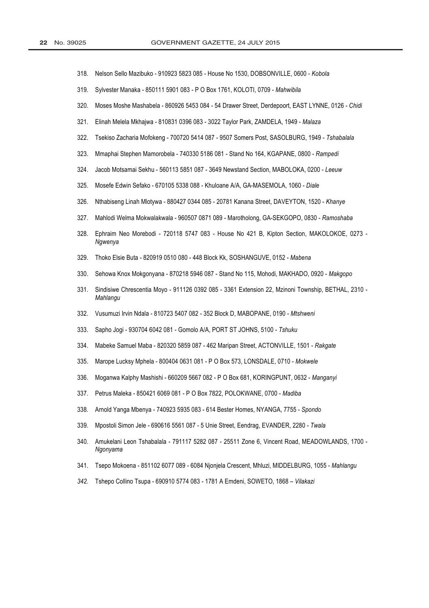- 318. Nelson Sello Mazibuko - 910923 5823 085 - House No 1530, DOBSONVILLE, 0600 - Kobola
- 319 Sylvester Manaka - 850111 5901 083 - P O Box 1761, KOLOTI, 0709 - Mahwibila
- 320. Moses Moshe Mashabela - 860926 5453 084 - 54 Drawer Street, Derdepoort, EAST LYNNE, 0126 - Chidi
- $321.$ Elinah Melela Mkhajwa - 810831 0396 083 - 3022 Taylor Park, ZAMDELA, 1949 - Malaza
- 322. Tsekiso Zacharia Mofokeng - 700720 5414 087 - 9507 Somers Post, SASOLBURG, 1949 - Tshabalala
- 323. Mmaphai Stephen Mamorobela - 740330 5186 081 - Stand No 164, KGAPANE, 0800 - Rampedi
- 324. Jacob Motsamai Sekhu - 560113 5851 087 - 3649 Newstand Section, MABOLOKA, 0200 - Leeuw
- 325. Mosefe Edwin Sefako - 670105 5338 088 - Khuloane A/A, GA-MASEMOLA, 1060 - Diale
- 326. Nthabiseng Linah Mlotywa - 880427 0344 085 - 20781 Kanana Street, DAVEYTON, 1520 - Khanye
- 327. Mahlodi Welma Mokwalakwala - 960507 0871 089 - Marotholong, GA-SEKGOPO, 0830 - Ramoshaba
- Ephraim Neo Morebodi 720118 5747 083 House No 421 B, Kipton Section, MAKOLOKOE, 0273 -328 Ngwenya
- Thoko Elsie Buta 820919 0510 080 448 Block Kk, SOSHANGUVE, 0152 Mabena 329.
- Sehowa Knox Mokgonyana 870218 5946 087 Stand No 115, Mohodi, MAKHADO, 0920 Makgopo  $330.$
- $331.$ Sindisiwe Chrescentia Movo - 911126 0392 085 - 3361 Extension 22. Mzinoni Township, BETHAL, 2310 -Mahlangu
- 332. Vusumuzi Irvin Ndala - 810723 5407 082 - 352 Block D, MABOPANE, 0190 - Mtshweni
- 333. Sapho Jogi - 930704 6042 081 - Gomolo A/A, PORT ST JOHNS, 5100 - Tshuku
- 334. Mabeke Samuel Maba - 820320 5859 087 - 462 Maripan Street, ACTONVILLE, 1501 - Rakgate
- 335. Marope Lucksy Mphela - 800404 0631 081 - P O Box 573, LONSDALE, 0710 - Mokwele
- Moganwa Kalphy Mashishi 660209 5667 082 P O Box 681, KORINGPUNT, 0632 Manganyi 336.
- 337. Petrus Maleka - 850421 6069 081 - P O Box 7822, POLOKWANE, 0700 - Madiba
- 338. Arnold Yanga Mbenya - 740923 5935 083 - 614 Bester Homes, NYANGA, 7755 - Spondo
- 339. Mpostoli Simon Jele - 690616 5561 087 - 5 Unie Street, Eendrag, EVANDER, 2280 - Twala
- 340. Amukelani Leon Tshabalala - 791117 5282 087 - 25511 Zone 6, Vincent Road, MEADOWLANDS, 1700 -Ngonyama
- 341. Tsepo Mokoena 851102 6077 089 6084 Njonjela Crescent, Mhluzi, MIDDELBURG, 1055 Mahlangu
- Tshepo Collino Tsupa 690910 5774 083 1781 A Emdeni, SOWETO, 1868 Vilakazi 342.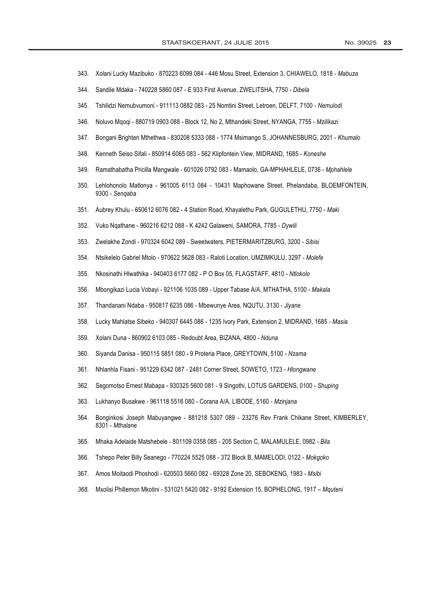- 343. Xolani Lucky Mazibuko - 870223 6099 084 - 446 Mosu Street, Extension 3, CHIAWELO, 1818 - Mabuza
- 344. Sandile Mdaka - 740228 5860 087 - E 933 First Avenue, ZWELITSHA, 7750 - Dibela
- 345. Tshilidzi Nemubvumoni - 911113 0882 083 - 25 Nomtini Street, Letroen, DELFT, 7100 - Nemulodi
- 346. Noluvo Mgogi - 880719 0903 088 - Block 12, No 2, Mthandeki Street, NYANGA, 7755 - Mzilikazi
- 347. Bongani Brighten Mthethwa - 830208 5333 088 - 1774 Msimango S, JOHANNESBURG, 2001 - Khumalo
- 348. Kenneth Seiso Sifali - 850914 6065 083 - 562 Klipfontein View, MIDRAND, 1685 - Koneshe
- 349. Ramathabatha Pricilla Mangwale - 601026 0792 083 - Mamaolo, GA-MPHAHLELE, 0736 - Mphahlele
- 350. Lehlohonolo Matlonya - 961005 6113 084 - 10431 Maphowane Street, Phelandaba, BLOEMFONTEIN, 9300 - Sengaba
- $351.$ Aubrey Khulu - 650612 6076 082 - 4 Station Road, Khayalethu Park, GUGULETHU, 7750 - Maki
- 352. Vuko Ngathane - 960216 6212 088 - K 4242 Galaweni, SAMORA, 7785 - Dywili
- Zwelakhe Zondi 970324 6042 089 Sweetwaters, PIETERMARITZBURG, 3200 Sibisi  $353$
- Ntsikelelo Gabriel Mtolo 970622 5628 083 Raloti Location, UMZIMKULU, 3297 Molefe 354.
- Nkosinathi Hlwathika 940403 6177 082 P O Box 05, FLAGSTAFF, 4810 Ntlokolo 355.
- 356. Mbongikazi Lucia Vobavi - 921106 1035 089 - Upper Tabase A/A, MTHATHA, 5100 - Makala
- 357. Thandanani Ndaba - 950817 6235 086 - Mbewunye Area, NQUTU, 3130 - Jiyane
- 358. Lucky Mahlatse Sibeko - 940307 6445 086 - 1235 Ivory Park, Extension 2, MIDRAND, 1685 - Masia
- 359. Xolani Duna - 860902 6103 085 - Redoubt Area, BIZANA, 4800 - Nduna
- 360. Siyanda Danisa - 950115 5851 080 - 9 Proteria Place, GREYTOWN, 5100 - Nzama
- 361. Nhlanhla Fisani - 951229 6342 087 - 2481 Corner Street, SOWETO, 1723 - Hlongwane
- 362. Segomotso Ernest Mabapa - 930325 5600 081 - 9 Singothi, LOTUS GARDENS, 0100 - Shuping
- 363. Lukhanyo Busakwe - 961118 5516 080 - Corana A/A, LIBODE, 5160 - Mzinjana
- 364. Bonginkosi Joseph Mabuyangwe - 881218 5307 089 - 23276 Rev Frank Chikane Street, KIMBERLEY, 8301 - Mthalane
- 365. Mhaka Adelaide Matshebele - 801109 0358 085 - 205 Section C, MALAMULELE, 0982 - Bila
- Tshepo Peter Billy Seanego 770224 5525 088 372 Block B, MAMELODI, 0122 Mokgoko 366.
- 367. Amos Moitaodi Phoshodi - 620503 5660 082 - 69328 Zone 20, SEBOKENG, 1983 - Msibi
- 368. Mxolisi Phillemon Mkotini - 531021 5420 082 - 9192 Extension 15, BOPHELONG, 1917 - Mquteni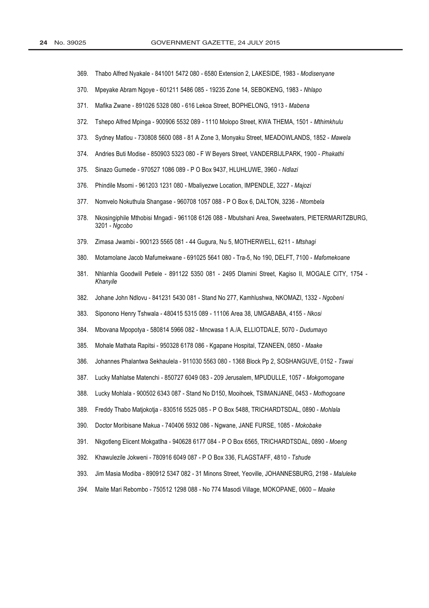- 369. Thabo Alfred Nyakale - 841001 5472 080 - 6580 Extension 2, LAKESIDE, 1983 - Modisenyane
- 370. Mpeyake Abram Ngoye - 601211 5486 085 - 19235 Zone 14, SEBOKENG, 1983 - Nhlapo
- Mafika Zwane 891026 5328 080 616 Lekoa Street, BOPHELONG, 1913 Mabena  $371$
- 372. Tshepo Alfred Mpinga - 900906 5532 089 - 1110 Molopo Street, KWA THEMA, 1501 - Mthimkhulu
- 373. Sydney Matlou - 730808 5600 088 - 81 A Zone 3, Monyaku Street, MEADOWLANDS, 1852 - Mawela
- 374. Andries Buti Modise - 850903 5323 080 - F W Beyers Street, VANDERBIJLPARK, 1900 - Phakathi
- 375. Sinazo Gumede - 970527 1086 089 - P O Box 9437, HLUHLUWE, 3960 - Ndlazi
- 376. Phindile Msomi - 961203 1231 080 - Mbaliyezwe Location, IMPENDLE, 3227 - Majozi
- Nomvelo Nokuthula Shangase 960708 1057 088 P O Box 6, DALTON, 3236 Ntombela 377.
- 378. Nkosingiphile Mthobisi Mngadi - 961108 6126 088 - Mbutshani Area, Sweetwaters, PIETERMARITZBURG, 3201 - Ngcobo
- 379. Zimasa Jwambi 900123 5565 081 44 Gugura, Nu 5, MOTHERWELL, 6211 Mtshagi
- Motamolane Jacob Mafumekwane 691025 5641 080 Tra-5, No 190, DELFT, 7100 Mafomekoane 380.
- $381.$ Nhlanhla Goodwill Petlele - 891122 5350 081 - 2495 Dlamini Street, Kagiso II, MOGALE CITY, 1754 -Khanyile
- 382 Johane John Ndlovu - 841231 5430 081 - Stand No 277, Kamhlushwa, NKOMAZI, 1332 - Ngobeni
- 383. Siponono Henry Tshwala - 480415 5315 089 - 11106 Area 38, UMGABABA, 4155 - Nkosi
- 384 Mboyana Mpopotya - 580814 5966 082 - Mncwasa 1 A./A. ELLIOTDALE, 5070 - Dudumayo
- 385. Mohale Mathata Rapitsi - 950328 6178 086 - Kgapane Hospital, TZANEEN, 0850 - Maake
- 386. Johannes Phalantwa Sekhaulela - 911030 5563 080 - 1368 Block Pp 2, SOSHANGUVE, 0152 - Tswai
- 387. Lucky Mahlatse Matenchi - 850727 6049 083 - 209 Jerusalem, MPUDULLE, 1057 - Mokgomogane
- 388. Lucky Mohlala - 900502 6343 087 - Stand No D150, Mooihoek, TSIMANJANE, 0453 - Mothogoane
- 389. Freddy Thabo Matiokotia - 830516 5525 085 - P O Box 5488, TRICHARDTSDAL, 0890 - Mohlala
- 390. Doctor Moribisane Makua - 740406 5932 086 - Ngwane, JANE FURSE, 1085 - Mokobake
- $391.$ Nkgotleng Elicent Mokgatlha - 940628 6177 084 - P O Box 6565, TRICHARDTSDAL, 0890 - Moeng
- 392. Khawulezile Jokweni - 780916 6049 087 - P O Box 336, FLAGSTAFF, 4810 - Tshude
- 393. Jim Masia Modiba - 890912 5347 082 - 31 Minons Street, Yeoville, JOHANNESBURG, 2198 - Maluleke
- 394. Maite Mari Rebombo - 750512 1298 088 - No 774 Masodi Village, MOKOPANE, 0600 - Maake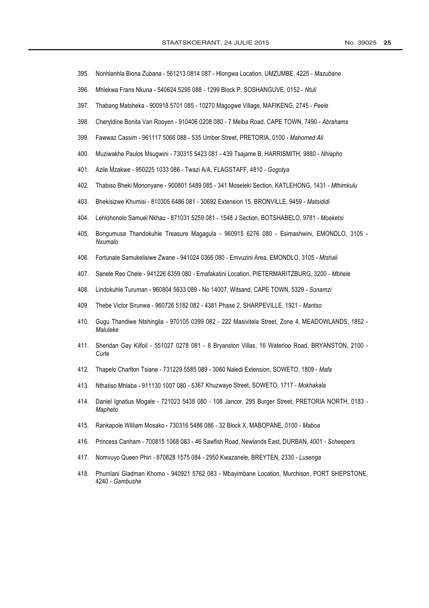- 395. Nonhlanhla Biona Zubana - 561213 0814 087 - Hlongwa Location, UMZUMBE, 4225 - Mazubane
- 396. Mhlekwa Frans Nkuna - 540624 5295 088 - 1299 Block P, SOSHANGUVE, 0152 - Ntuli
- 397. Thabang Matsheka - 900918 5701 085 - 10270 Magogwe Village, MAFIKENG, 2745 - Peele
- 398. Cheryldine Bonita Van Rooyen - 910406 0208 080 - 7 Melba Road, CAPE TOWN, 7490 - Abrahams
- 399. Fawwaz Cassim - 961117 5066 088 - 535 Umber Street, PRETORIA, 0100 - Mahomed Ali
- 400. Muziwakhe Paulos Msugwini - 730315 5423 081 - 439 Tsajame B, HARRISMITH, 9880 - Nhlapho
- 401. Azile Mzakwe - 950225 1033 086 - Twazi A/A, FLAGSTAFF, 4810 - Gogotya
- 402. Thabiso Bheki Mononyane - 900801 5489 085 - 341 Moseleki Section, KATLEHONG, 1431 - Mthimkulu
- 403. Bhekisizwe Khumisi - 810305 6486 081 - 30692 Extension 15, BRONVILLE, 9459 - Matsididi
- 404. Lehlohonolo Samuel Nkhau - 871031 5259 081 - 1548 J Section, BOTSHABELO, 9781 - Moeketsi
- Bongumusa Thandokuhle Treasure Magagula 960915 6276 080 Esimashwini, EMONDLO, 3105 -405 Nxumalo
- Fortunate Samukelisiwe Zwane 941024 0366 080 Emvuzini Area, EMONDLO, 3105 Mtshali 406.
- 407. Sanele Reo Chele - 941226 6359 080 - Emafakatini Location, PIETERMARITZBURG, 3200 - Mbhele
- 408. Lindokuhle Turuman - 960804 5633 089 - No 14007. Witsand, CAPE TOWN, 5329 - Sonamzi
- 409. Thebe Victor Sirunwa - 960726 5182 082 - 4381 Phase 2, SHARPEVILLE, 1921 - Mantso
- 410. Gugu Thandiwe Ntshingila - 970105 0399 082 - 222 Masivitela Street, Zone 4, MEADOWLANDS, 1852 -Maluleke
- 411. Sheridan Gay Kilfoil - 551027 0278 081 - 8 Bryanston Villas, 16 Waterloo Road, BRYANSTON, 2100 -Curle
- Thapelo Charlton Tsiane 731229 5585 089 3060 Naledi Extension, SOWETO, 1809 Mafa 412.
- Nthatiso Mhlaba 911130 1007 080 5367 Khuzwayo Street, SOWETO, 1717 Mokhakala 413
- 414. Daniel Ignatius Mogale - 721023 5438 080 - 108 Jancor, 295 Burger Street, PRETORIA NORTH, 0183 -Mapheto
- Rankapole William Mosako 730316 5486 086 32 Block X, MABOPANE, 0100 Maboa 415
- Princess Canham 700815 1068 083 46 Sawfish Road, Newlands East, DURBAN, 4001 Scheepers 416
- 417. Nomvuyo Queen Phiri 870828 1575 084 2950 Kwazanele, BREYTEN, 2330 Lusenga
- 418 Phumlani Gladman Khomo - 940921 5762 083 - Mbayimbane Location, Murchison, PORT SHEPSTONE, 4240 - Gambushe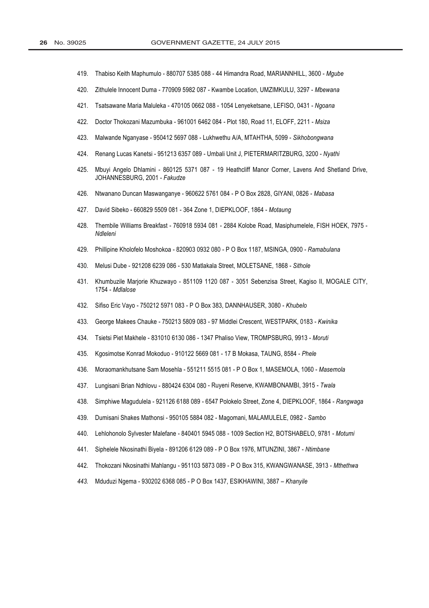- 419. Thabiso Keith Maphumulo - 880707 5385 088 - 44 Himandra Road, MARIANNHILL, 3600 - Mgube
- 420. Zithulele Innocent Duma - 770909 5982 087 - Kwambe Location, UMZIMKULU, 3297 - Mbewana
- Tsatsawane Maria Maluleka 470105 0662 088 1054 Lenyeketsane, LEFISO, 0431 Ngoana 421.
- 422. Doctor Thokozani Mazumbuka - 961001 6462 084 - Plot 180, Road 11, ELOFF, 2211 - Msiza
- 423. Malwande Nganyase - 950412 5697 088 - Lukhwethu A/A, MTAHTHA, 5099 - Sikhobongwana
- 424. Renang Lucas Kanetsi - 951213 6357 089 - Umbali Unit J, PIETERMARITZBURG, 3200 - Nyathi
- 425. Mbuyi Angelo Dhlamini - 860125 5371 087 - 19 Heathcliff Manor Corner, Lavens And Shetland Drive, JOHANNESBURG, 2001 - Fakudze
- 426. Ntwanano Duncan Maswanganye - 960622 5761 084 - P O Box 2828, GIYANI, 0826 - Mabasa
- 427. David Sibeko 660829 5509 081 364 Zone 1, DIEPKLOOF, 1864 Motaung
- Thembile Williams Breakfast 760918 5934 081 2884 Kolobe Road, Masiphumelele, FISH HOEK, 7975 -428. Ndleleni
- Phillipine Kholofelo Moshokoa 820903 0932 080 P O Box 1187, MSINGA, 0900 Ramabulana 429.
- Melusi Dube 921208 6239 086 530 Matlakala Street, MOLETSANE, 1868 Sithole 430.
- Khumbuzile Marjorie Khuzwayo 851109 1120 087 3051 Sebenzisa Street, Kagiso II, MOGALE CITY, 431. 1754 - Mdlalose
- 432. Sifiso Eric Vayo - 750212 5971 083 - P O Box 383, DANNHAUSER, 3080 - Khubelo
- 433 George Makees Chauke - 750213 5809 083 - 97 Middlei Crescent, WESTPARK, 0183 - Kwinika
- 434. Tsietsi Piet Makhele - 831010 6130 086 - 1347 Phaliso View, TROMPSBURG, 9913 - Moruti
- 435. Kgosimotse Konrad Mokoduo - 910122 5669 081 - 17 B Mokasa, TAUNG, 8584 - Phele
- 436. Moraomankhutsane Sam Mosehla - 551211 5515 081 - P O Box 1, MASEMOLA, 1060 - Masemola
- Lungisani Brian Ndhlovu 880424 6304 080 Ruyeni Reserve, KWAMBONAMBI, 3915 Twala 437.
- 438. Simphiwe Magudulela - 921126 6188 089 - 6547 Polokelo Street, Zone 4, DIEPKLOOF, 1864 - Rangwaga
- 439. Dumisani Shakes Mathonsi - 950105 5884 082 - Magomani, MALAMULELE, 0982 - Sambo
- 440. Lehlohonolo Sylvester Malefane - 840401 5945 088 - 1009 Section H2, BOTSHABELO, 9781 - Motumi
- 441. Siphelele Nkosinathi Biyela - 891206 6129 089 - P O Box 1976, MTUNZINI, 3867 - Ntimbane
- 442. Thokozani Nkosinathi Mahlangu - 951103 5873 089 - P O Box 315, KWANGWANASE, 3913 - Mthethwa
- Mduduzi Ngema 930202 6368 085 P O Box 1437, ESIKHAWINI, 3887 Khanyile 443.